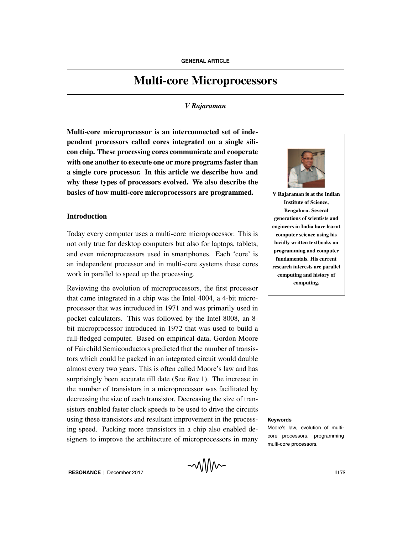# **Multi-core Microprocessors**

#### *V Rajaraman*

**Multi-core microprocessor is an interconnected set of independent processors called cores integrated on a single silicon chip. These processing cores communicate and cooperate with one another to execute one or more programs faster than a single core processor. In this article we describe how and why these types of processors evolved. We also describe the basics of how multi-core microprocessors are programmed.**

#### **Introduction**

Today every computer uses a multi-core microprocessor. This is not only true for desktop computers but also for laptops, tablets, and even microprocessors used in smartphones. Each 'core' is an independent processor and in multi-core systems these cores work in parallel to speed up the processing.

Reviewing the evolution of microprocessors, the first processor that came integrated in a chip was the Intel 4004, a 4-bit microprocessor that was introduced in 1971 and was primarily used in pocket calculators. This was followed by the Intel 8008, an 8 bit microprocessor introduced in 1972 that was used to build a full-fledged computer. Based on empirical data, Gordon Moore of Fairchild Semiconductors predicted that the number of transistors which could be packed in an integrated circuit would double almost every two years. This is often called Moore's law and has surprisingly been accurate till date (See *Box* 1). The increase in the number of transistors in a microprocessor was facilitated by decreasing the size of each transistor. Decreasing the size of transistors enabled faster clock speeds to be used to drive the circuits using these transistors and resultant improvement in the process- **Keywords** ing speed. Packing more transistors in a chip also enabled designers to improve the architecture of microprocessors in many



**V Rajaraman is at the Indian Institute of Science, Bengaluru. Several generations of scientists and engineers in India have learnt computer science using his lucidly written textbooks on programming and computer fundamentals. His current research interests are parallel computing and history of computing.**

Moore's law, evolution of multicore processors, programming multi-core processors.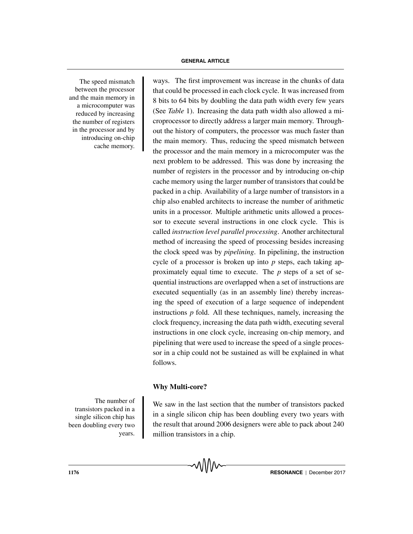The speed mismatch between the processor and the main memory in a microcomputer was reduced by increasing the number of registers in the processor and by introducing on-chip cache memory.

ways. The first improvement was increase in the chunks of data that could be processed in each clock cycle. It was increased from 8 bits to 64 bits by doubling the data path width every few years (See *Table* 1). Increasing the data path width also allowed a microprocessor to directly address a larger main memory. Throughout the history of computers, the processor was much faster than the main memory. Thus, reducing the speed mismatch between the processor and the main memory in a microcomputer was the next problem to be addressed. This was done by increasing the number of registers in the processor and by introducing on-chip cache memory using the larger number of transistors that could be packed in a chip. Availability of a large number of transistors in a chip also enabled architects to increase the number of arithmetic units in a processor. Multiple arithmetic units allowed a processor to execute several instructions in one clock cycle. This is called *instruction level parallel processing*. Another architectural method of increasing the speed of processing besides increasing the clock speed was by *pipelining*. In pipelining, the instruction cycle of a processor is broken up into *p* steps, each taking approximately equal time to execute. The *p* steps of a set of sequential instructions are overlapped when a set of instructions are executed sequentially (as in an assembly line) thereby increasing the speed of execution of a large sequence of independent instructions *p* fold. All these techniques, namely, increasing the clock frequency, increasing the data path width, executing several instructions in one clock cycle, increasing on-chip memory, and pipelining that were used to increase the speed of a single processor in a chip could not be sustained as will be explained in what follows.

### **Why Multi-core?**

The number of transistors packed in a single silicon chip has been doubling every two years.

We saw in the last section that the number of transistors packed in a single silicon chip has been doubling every two years with the result that around 2006 designers were able to pack about 240 million transistors in a chip.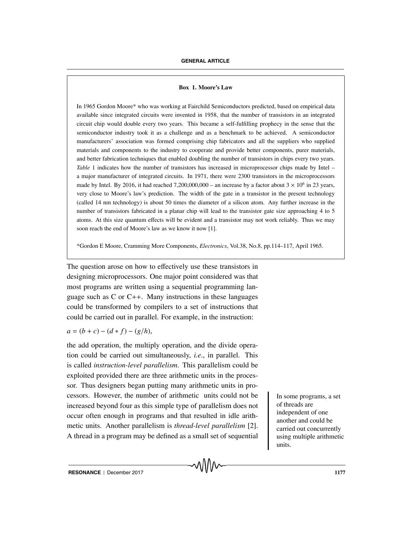#### **Box 1. Moore's Law**

In 1965 Gordon Moore\* who was working at Fairchild Semiconductors predicted, based on empirical data available since integrated circuits were invented in 1958, that the number of transistors in an integrated circuit chip would double every two years. This became a self-fulfilling prophecy in the sense that the semiconductor industry took it as a challenge and as a benchmark to be achieved. A semiconductor manufacturers' association was formed comprising chip fabricators and all the suppliers who supplied materials and components to the industry to cooperate and provide better components, purer materials, and better fabrication techniques that enabled doubling the number of transistors in chips every two years. *Table* 1 indicates how the number of transistors has increased in microprocessor chips made by Intel – a major manufacturer of integrated circuits. In 1971, there were 2300 transistors in the microprocessors made by Intel. By 2016, it had reached 7,200,000,000 – an increase by a factor about  $3 \times 10^6$  in 23 years, very close to Moore's law's prediction. The width of the gate in a transistor in the present technology (called 14 nm technology) is about 50 times the diameter of a silicon atom. Any further increase in the number of transistors fabricated in a planar chip will lead to the transistor gate size approaching 4 to 5 atoms. At this size quantum effects will be evident and a transistor may not work reliably. Thus we may soon reach the end of Moore's law as we know it now [1].

\*Gordon E Moore, Cramming More Components, *Electronics*, Vol.38, No.8, pp.114–117, April 1965.

The question arose on how to effectively use these transistors in designing microprocessors. One major point considered was that most programs are written using a sequential programming language such as C or C++. Many instructions in these languages could be transformed by compilers to a set of instructions that could be carried out in parallel. For example, in the instruction:

 $a = (b + c) - (d * f) - (g/h),$ 

the add operation, the multiply operation, and the divide operation could be carried out simultaneously, *i.e*., in parallel. This is called *instruction-level parallelism*. This parallelism could be exploited provided there are three arithmetic units in the processor. Thus designers began putting many arithmetic units in processors. However, the number of arithmetic units could not be In some programs, a set increased beyond four as this simple type of parallelism does not occur often enough in programs and that resulted in idle arithmetic units. Another parallelism is *thread-level parallelism* [2]. A thread in a program may be defined as a small set of sequential

of threads are independent of one another and could be carried out concurrently using multiple arithmetic units.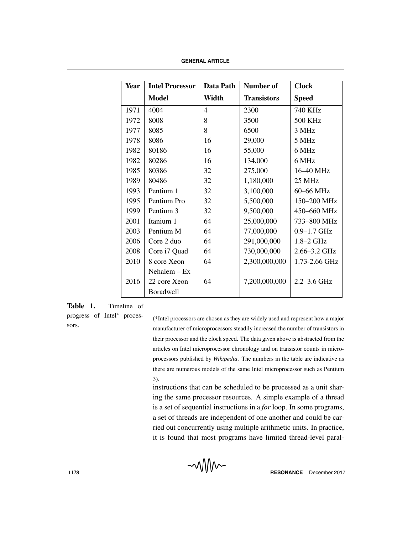| Year | <b>Intel Processor</b> | Data Path      | Number of          | <b>Clock</b>     |
|------|------------------------|----------------|--------------------|------------------|
|      | <b>Model</b>           | Width          | <b>Transistors</b> | <b>Speed</b>     |
| 1971 | 4004                   | $\overline{4}$ | 2300               | 740 KHz          |
| 1972 | 8008                   | 8              | 3500               | <b>500 KHz</b>   |
| 1977 | 8085                   | 8              | 6500               | 3 MHz            |
| 1978 | 8086                   | 16             | 29,000             | 5 MHz            |
| 1982 | 80186                  | 16             | 55,000             | 6 MHz            |
| 1982 | 80286                  | 16             | 134,000            | 6 MHz            |
| 1985 | 80386                  | 32             | 275,000            | 16-40 MHz        |
| 1989 | 80486                  | 32             | 1,180,000          | $25 \text{ MHz}$ |
| 1993 | Pentium 1              | 32             | 3,100,000          | 60-66 MHz        |
| 1995 | Pentium Pro            | 32             | 5,500,000          | 150-200 MHz      |
| 1999 | Pentium 3              | 32             | 9,500,000          | 450-660 MHz      |
| 2001 | Itanium 1              | 64             | 25,000,000         | 733-800 MHz      |
| 2003 | Pentium M              | 64             | 77,000,000         | $0.9 - 1.7$ GHz  |
| 2006 | Core 2 duo             | 64             | 291,000,000        | $1.8 - 2$ GHz    |
| 2008 | Core i7 Quad           | 64             | 730,000,000        | 2.66-3.2 GHz     |
| 2010 | 8 core Xeon            | 64             | 2,300,000,000      | 1.73-2.66 GHz    |
|      | $Nehalem - Ex$         |                |                    |                  |
| 2016 | 22 core Xeon           | 64             | 7,200,000,000      | $2.2 - 3.6$ GHz  |
|      | <b>Boradwell</b>       |                |                    |                  |

**Table 1.** Timeline of

progress of Intel<sup>∗</sup> processors.

(\*Intel processors are chosen as they are widely used and represent how a major manufacturer of microprocessors steadily increased the number of transistors in their processor and the clock speed. The data given above is abstracted from the articles on Intel microprocessor chronology and on transistor counts in microprocessors published by *Wikipedia*. The numbers in the table are indicative as there are numerous models of the same Intel microprocessor such as Pentium 3).

instructions that can be scheduled to be processed as a unit sharing the same processor resources. A simple example of a thread is a set of sequential instructions in a *for* loop. In some programs, a set of threads are independent of one another and could be carried out concurrently using multiple arithmetic units. In practice, it is found that most programs have limited thread-level paral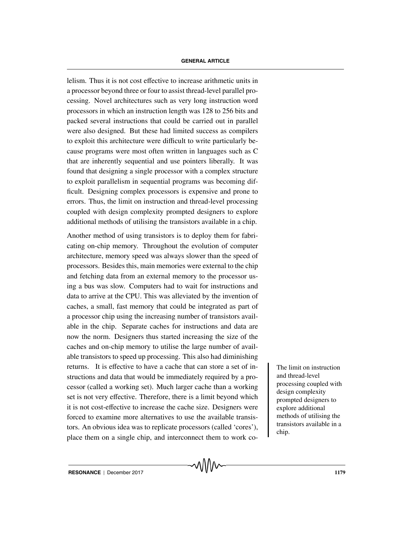lelism. Thus it is not cost effective to increase arithmetic units in a processor beyond three or four to assist thread-level parallel processing. Novel architectures such as very long instruction word processors in which an instruction length was 128 to 256 bits and packed several instructions that could be carried out in parallel were also designed. But these had limited success as compilers to exploit this architecture were difficult to write particularly because programs were most often written in languages such as C that are inherently sequential and use pointers liberally. It was found that designing a single processor with a complex structure to exploit parallelism in sequential programs was becoming difficult. Designing complex processors is expensive and prone to errors. Thus, the limit on instruction and thread-level processing coupled with design complexity prompted designers to explore additional methods of utilising the transistors available in a chip.

Another method of using transistors is to deploy them for fabricating on-chip memory. Throughout the evolution of computer architecture, memory speed was always slower than the speed of processors. Besides this, main memories were external to the chip and fetching data from an external memory to the processor using a bus was slow. Computers had to wait for instructions and data to arrive at the CPU. This was alleviated by the invention of caches, a small, fast memory that could be integrated as part of a processor chip using the increasing number of transistors available in the chip. Separate caches for instructions and data are now the norm. Designers thus started increasing the size of the caches and on-chip memory to utilise the large number of available transistors to speed up processing. This also had diminishing returns. It is effective to have a cache that can store a set of in-<br>The limit on instruction structions and data that would be immediately required by a processor (called a working set). Much larger cache than a working set is not very effective. Therefore, there is a limit beyond which it is not cost-effective to increase the cache size. Designers were forced to examine more alternatives to use the available transistors. An obvious idea was to replicate processors (called 'cores'), place them on a single chip, and interconnect them to work co-

and thread-level processing coupled with design complexity prompted designers to explore additional methods of utilising the transistors available in a chip.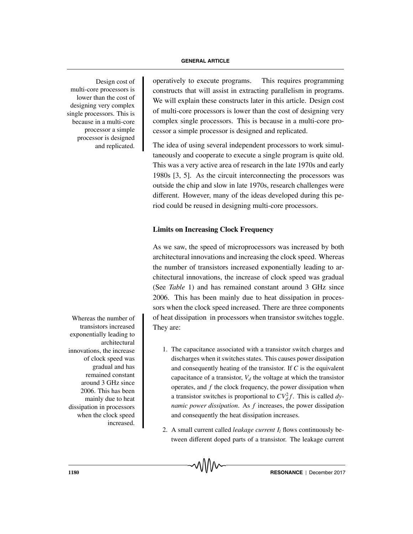multi-core processors is lower than the cost of designing very complex single processors. This is because in a multi-core processor a simple processor is designed and replicated.

Whereas the number of transistors increased exponentially leading to architectural innovations, the increase of clock speed was gradual and has remained constant around 3 GHz since 2006. This has been mainly due to heat dissipation in processors when the clock speed increased.

Design cost of operatively to execute programs. This requires programming constructs that will assist in extracting parallelism in programs. We will explain these constructs later in this article. Design cost of multi-core processors is lower than the cost of designing very complex single processors. This is because in a multi-core processor a simple processor is designed and replicated.

> The idea of using several independent processors to work simultaneously and cooperate to execute a single program is quite old. This was a very active area of research in the late 1970s and early 1980s [3, 5]. As the circuit interconnecting the processors was outside the chip and slow in late 1970s, research challenges were different. However, many of the ideas developed during this period could be reused in designing multi-core processors.

## **Limits on Increasing Clock Frequency**

As we saw, the speed of microprocessors was increased by both architectural innovations and increasing the clock speed. Whereas the number of transistors increased exponentially leading to architectural innovations, the increase of clock speed was gradual (See *Table* 1) and has remained constant around 3 GHz since 2006. This has been mainly due to heat dissipation in processors when the clock speed increased. There are three components of heat dissipation in processors when transistor switches toggle. They are:

- 1. The capacitance associated with a transistor switch charges and discharges when it switches states. This causes power dissipation and consequently heating of the transistor. If *C* is the equivalent capacitance of a transistor,  $V<sub>d</sub>$  the voltage at which the transistor operates, and *f* the clock frequency, the power dissipation when a transistor switches is proportional to  $CV_d^2 f$ . This is called *dynamic power dissipation*. As *f* increases, the power dissipation and consequently the heat dissipation increases.
- 2. A small current called *leakage current*  $I_l$  flows continuously between different doped parts of a transistor. The leakage current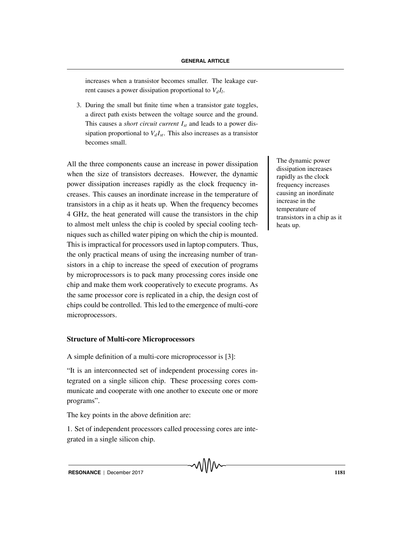increases when a transistor becomes smaller. The leakage current causes a power dissipation proportional to  $V_dI_l$ .

3. During the small but finite time when a transistor gate toggles, a direct path exists between the voltage source and the ground. This causes a *short circuit current Ist* and leads to a power dissipation proportional to  $V_d I_{st}$ . This also increases as a transistor becomes small.

All the three components cause an increase in power dissipation when the size of transistors decreases. However, the dynamic power dissipation increases rapidly as the clock frequency increases. This causes an inordinate increase in the temperature of transistors in a chip as it heats up. When the frequency becomes 4 GHz, the heat generated will cause the transistors in the chip to almost melt unless the chip is cooled by special cooling techniques such as chilled water piping on which the chip is mounted. This is impractical for processors used in laptop computers. Thus, the only practical means of using the increasing number of transistors in a chip to increase the speed of execution of programs by microprocessors is to pack many processing cores inside one chip and make them work cooperatively to execute programs. As the same processor core is replicated in a chip, the design cost of chips could be controlled. This led to the emergence of multi-core microprocessors.

### **Structure of Multi-core Microprocessors**

A simple definition of a multi-core microprocessor is [3]:

"It is an interconnected set of independent processing cores integrated on a single silicon chip. These processing cores communicate and cooperate with one another to execute one or more programs".

The key points in the above definition are:

1. Set of independent processors called processing cores are integrated in a single silicon chip.

The dynamic power dissipation increases rapidly as the clock frequency increases causing an inordinate increase in the temperature of transistors in a chip as it heats up.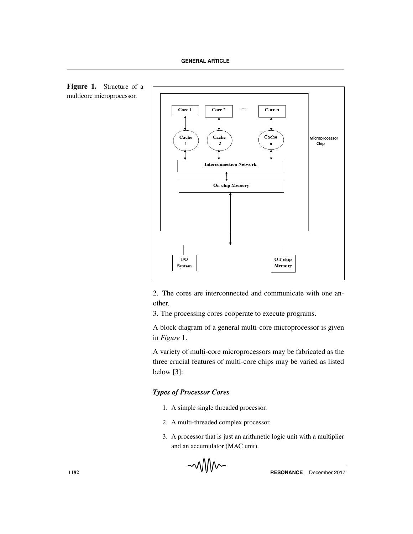



2. The cores are interconnected and communicate with one another.

3. The processing cores cooperate to execute programs.

A block diagram of a general multi-core microprocessor is given in *Figure* 1.

A variety of multi-core microprocessors may be fabricated as the three crucial features of multi-core chips may be varied as listed below [3]:

#### *Types of Processor Cores*

- 1. A simple single threaded processor.
- 2. A multi-threaded complex processor.
- 3. A processor that is just an arithmetic logic unit with a multiplier and an accumulator (MAC unit).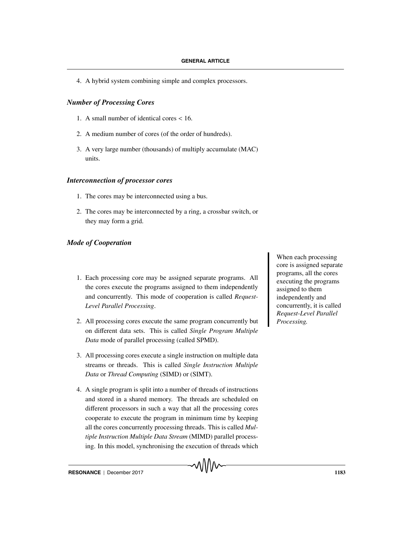4. A hybrid system combining simple and complex processors.

#### *Number of Processing Cores*

- 1. A small number of identical cores < 16.
- 2. A medium number of cores (of the order of hundreds).
- 3. A very large number (thousands) of multiply accumulate (MAC) units.

#### *Interconnection of processor cores*

- 1. The cores may be interconnected using a bus.
- 2. The cores may be interconnected by a ring, a crossbar switch, or they may form a grid.

#### *Mode of Cooperation*

- 1. Each processing core may be assigned separate programs. All the cores execute the programs assigned to them independently and concurrently. This mode of cooperation is called *Request-Level Parallel Processing*.
- 2. All processing cores execute the same program concurrently but on different data sets. This is called *Single Program Multiple Data* mode of parallel processing (called SPMD).
- 3. All processing cores execute a single instruction on multiple data streams or threads. This is called *Single Instruction Multiple Data* or *Thread Computing* (SIMD) or (SIMT).
- 4. A single program is split into a number of threads of instructions and stored in a shared memory. The threads are scheduled on different processors in such a way that all the processing cores cooperate to execute the program in minimum time by keeping all the cores concurrently processing threads. This is called *Multiple Instruction Multiple Data Stream* (MIMD) parallel processing. In this model, synchronising the execution of threads which

When each processing core is assigned separate programs, all the cores executing the programs assigned to them independently and concurrently, it is called *Request-Level Parallel Processing.*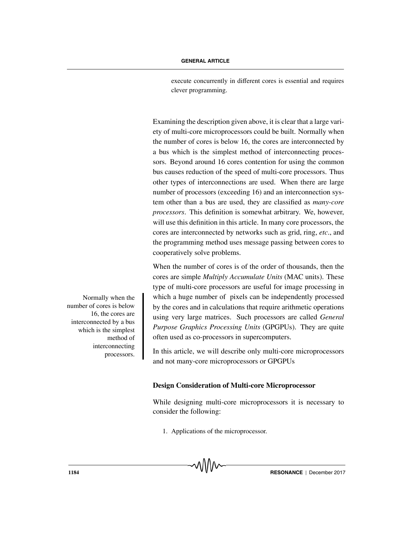execute concurrently in different cores is essential and requires clever programming.

Examining the description given above, it is clear that a large variety of multi-core microprocessors could be built. Normally when the number of cores is below 16, the cores are interconnected by a bus which is the simplest method of interconnecting processors. Beyond around 16 cores contention for using the common bus causes reduction of the speed of multi-core processors. Thus other types of interconnections are used. When there are large number of processors (exceeding 16) and an interconnection system other than a bus are used, they are classified as *many-core processors*. This definition is somewhat arbitrary. We, however, will use this definition in this article. In many core processors, the cores are interconnected by networks such as grid, ring, *etc*., and the programming method uses message passing between cores to cooperatively solve problems.

When the number of cores is of the order of thousands, then the cores are simple *Multiply Accumulate Units* (MAC units). These type of multi-core processors are useful for image processing in Normally when the which a huge number of pixels can be independently processed by the cores and in calculations that require arithmetic operations using very large matrices. Such processors are called *General Purpose Graphics Processing Units* (GPGPUs). They are quite often used as co-processors in supercomputers.

> In this article, we will describe only multi-core microprocessors and not many-core microprocessors or GPGPUs

### **Design Consideration of Multi-core Microprocessor**

While designing multi-core microprocessors it is necessary to consider the following:

1. Applications of the microprocessor.

number of cores is below 16, the cores are interconnected by a bus which is the simplest method of interconnecting processors.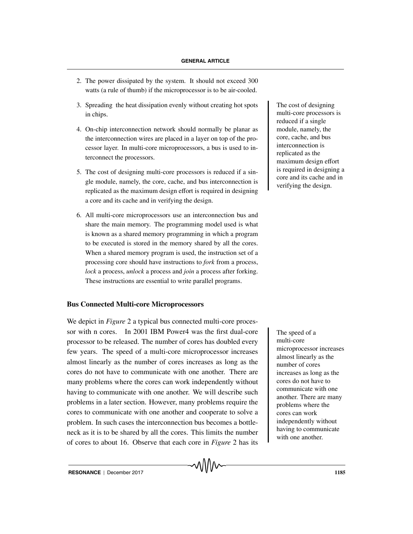- 2. The power dissipated by the system. It should not exceed 300 watts (a rule of thumb) if the microprocessor is to be air-cooled.
- 3. Spreading the heat dissipation evenly without creating hot spots The cost of designing in chips.
- 4. On-chip interconnection network should normally be planar as the interconnection wires are placed in a layer on top of the processor layer. In multi-core microprocessors, a bus is used to interconnect the processors.
- 5. The cost of designing multi-core processors is reduced if a single module, namely, the core, cache, and bus interconnection is replicated as the maximum design effort is required in designing a core and its cache and in verifying the design.
- 6. All multi-core microprocessors use an interconnection bus and share the main memory. The programming model used is what is known as a shared memory programming in which a program to be executed is stored in the memory shared by all the cores. When a shared memory program is used, the instruction set of a processing core should have instructions to *fork* from a process, *lock* a process, *unlock* a process and *join* a process after forking. These instructions are essential to write parallel programs.

### **Bus Connected Multi-core Microprocessors**

We depict in *Figure* 2 a typical bus connected multi-core processor with n cores. In 2001 IBM Power4 was the first dual-core The speed of a processor to be released. The number of cores has doubled every few years. The speed of a multi-core microprocessor increases almost linearly as the number of cores increases as long as the cores do not have to communicate with one another. There are many problems where the cores can work independently without having to communicate with one another. We will describe such problems in a later section. However, many problems require the cores to communicate with one another and cooperate to solve a problem. In such cases the interconnection bus becomes a bottleneck as it is to be shared by all the cores. This limits the number of cores to about 16. Observe that each core in *Figure* 2 has its

multi-core processors is reduced if a single module, namely, the core, cache, and bus interconnection is replicated as the maximum design effort is required in designing a core and its cache and in verifying the design.

multi-core microprocessor increases almost linearly as the number of cores increases as long as the cores do not have to communicate with one another. There are many problems where the cores can work independently without having to communicate with one another.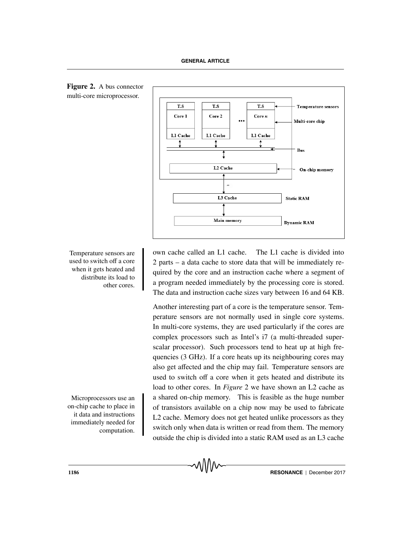

**Figure 2.** A bus connector multi-core microprocessor.

Temperature sensors are word cache called an L1 cache. The L1 cache is divided into 2 parts – a data cache to store data that will be immediately required by the core and an instruction cache where a segment of a program needed immediately by the processing core is stored. The data and instruction cache sizes vary between 16 and 64 KB.

Another interesting part of a core is the temperature sensor. Temperature sensors are not normally used in single core systems. In multi-core systems, they are used particularly if the cores are complex processors such as Intel's i7 (a multi-threaded superscalar processor). Such processors tend to heat up at high frequencies (3 GHz). If a core heats up its neighbouring cores may also get affected and the chip may fail. Temperature sensors are used to switch off a core when it gets heated and distribute its load to other cores. In *Figure* 2 we have shown an L2 cache as Microprocessors use an a shared on-chip memory. This is feasible as the huge number of transistors available on a chip now may be used to fabricate L2 cache. Memory does not get heated unlike processors as they switch only when data is written or read from them. The memory outside the chip is divided into a static RAM used as an L3 cache

used to switch off a core when it gets heated and distribute its load to other cores.

on-chip cache to place in it data and instructions immediately needed for computation.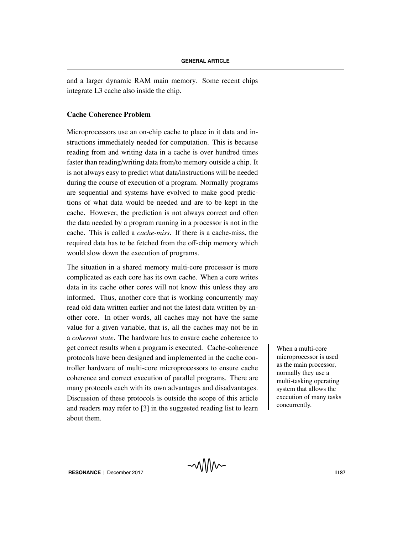and a larger dynamic RAM main memory. Some recent chips integrate L3 cache also inside the chip.

#### **Cache Coherence Problem**

Microprocessors use an on-chip cache to place in it data and instructions immediately needed for computation. This is because reading from and writing data in a cache is over hundred times faster than reading/writing data from/to memory outside a chip. It is not always easy to predict what data/instructions will be needed during the course of execution of a program. Normally programs are sequential and systems have evolved to make good predictions of what data would be needed and are to be kept in the cache. However, the prediction is not always correct and often the data needed by a program running in a processor is not in the cache. This is called a *cache-miss*. If there is a cache-miss, the required data has to be fetched from the off-chip memory which would slow down the execution of programs.

The situation in a shared memory multi-core processor is more complicated as each core has its own cache. When a core writes data in its cache other cores will not know this unless they are informed. Thus, another core that is working concurrently may read old data written earlier and not the latest data written by another core. In other words, all caches may not have the same value for a given variable, that is, all the caches may not be in a *coherent state*. The hardware has to ensure cache coherence to get correct results when a program is executed. Cache-coherence When a multi-core protocols have been designed and implemented in the cache controller hardware of multi-core microprocessors to ensure cache coherence and correct execution of parallel programs. There are many protocols each with its own advantages and disadvantages. Discussion of these protocols is outside the scope of this article and readers may refer to [3] in the suggested reading list to learn about them.

microprocessor is used as the main processor, normally they use a multi-tasking operating system that allows the execution of many tasks concurrently.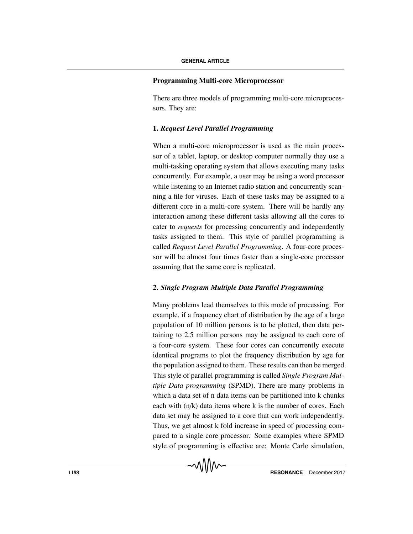#### **Programming Multi-core Microprocessor**

There are three models of programming multi-core microprocessors. They are:

## **1.** *Request Level Parallel Programming*

When a multi-core microprocessor is used as the main processor of a tablet, laptop, or desktop computer normally they use a multi-tasking operating system that allows executing many tasks concurrently. For example, a user may be using a word processor while listening to an Internet radio station and concurrently scanning a file for viruses. Each of these tasks may be assigned to a different core in a multi-core system. There will be hardly any interaction among these different tasks allowing all the cores to cater to *requests* for processing concurrently and independently tasks assigned to them. This style of parallel programming is called *Request Level Parallel Programming*. A four-core processor will be almost four times faster than a single-core processor assuming that the same core is replicated.

### **2.** *Single Program Multiple Data Parallel Programming*

Many problems lead themselves to this mode of processing. For example, if a frequency chart of distribution by the age of a large population of 10 million persons is to be plotted, then data pertaining to 2.5 million persons may be assigned to each core of a four-core system. These four cores can concurrently execute identical programs to plot the frequency distribution by age for the population assigned to them. These results can then be merged. This style of parallel programming is called *Single Program Multiple Data programming* (SPMD). There are many problems in which a data set of n data items can be partitioned into k chunks each with (n/k) data items where k is the number of cores. Each data set may be assigned to a core that can work independently. Thus, we get almost k fold increase in speed of processing compared to a single core processor. Some examples where SPMD style of programming is effective are: Monte Carlo simulation,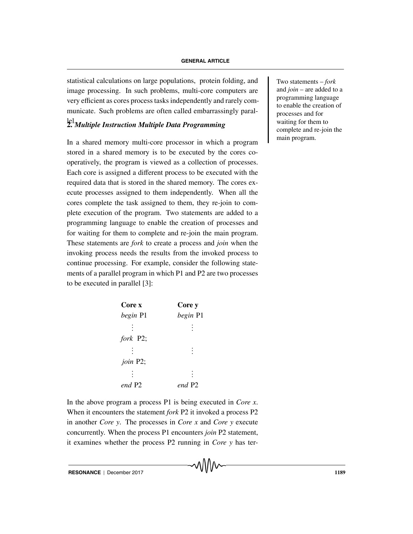statistical calculations on large populations, protein folding, and Two statements – *fork* image processing. In such problems, multi-core computers are very efficient as cores process tasks independently and rarely communicate. Such problems are often called embarrassingly paral-

# lel. **2.** *Multiple Instruction Multiple Data Programming*

In a shared memory multi-core processor in which a program stored in a shared memory is to be executed by the cores cooperatively, the program is viewed as a collection of processes. Each core is assigned a different process to be executed with the required data that is stored in the shared memory. The cores execute processes assigned to them independently. When all the cores complete the task assigned to them, they re-join to complete execution of the program. Two statements are added to a programming language to enable the creation of processes and for waiting for them to complete and re-join the main program. These statements are *fork* to create a process and *join* when the invoking process needs the results from the invoked process to continue processing. For example, consider the following statements of a parallel program in which P1 and P2 are two processes to be executed in parallel [3]:

| Core x   | Core y   |  |
|----------|----------|--|
| begin P1 | begin P1 |  |
|          |          |  |
| fork P2; |          |  |
|          |          |  |
| join P2; |          |  |
|          |          |  |
| end P2   | end P2   |  |

In the above program a process P1 is being executed in *Core x*. When it encounters the statement *fork* P2 it invoked a process P2 in another *Core y*. The processes in *Core x* and *Core y* execute concurrently. When the process P1 encounters *join* P2 statement, it examines whether the process P2 running in *Core y* has terand *join* – are added to a programming language to enable the creation of processes and for waiting for them to complete and re-join the main program.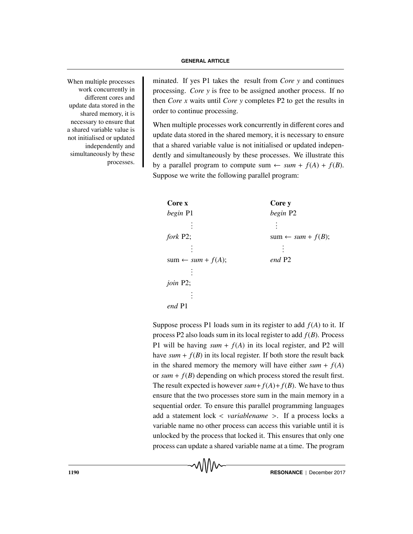work concurrently in different cores and update data stored in the shared memory, it is necessary to ensure that a shared variable value is not initialised or updated independently and simultaneously by these processes.

When multiple processes minated. If yes P1 takes the result from *Core y* and continues processing. *Core y* is free to be assigned another process. If no then *Core x* waits until *Core y* completes P2 to get the results in order to continue processing.

> When multiple processes work concurrently in different cores and update data stored in the shared memory, it is necessary to ensure that a shared variable value is not initialised or updated independently and simultaneously by these processes. We illustrate this by a parallel program to compute sum  $\leftarrow$  *sum* +  $f(A) + f(B)$ . Suppose we write the following parallel program:

| begin P2                     |  |
|------------------------------|--|
|                              |  |
| $sum \leftarrow sum + f(B);$ |  |
|                              |  |
|                              |  |
|                              |  |
|                              |  |
|                              |  |
|                              |  |
|                              |  |

Suppose process P1 loads sum in its register to add *f*(*A*) to it. If process P2 also loads sum in its local register to add *f*(*B*). Process P1 will be having  $sum + f(A)$  in its local register, and P2 will have  $sum + f(B)$  in its local register. If both store the result back in the shared memory the memory will have either  $sum + f(A)$ or  $sum + f(B)$  depending on which process stored the result first. The result expected is however  $sum + f(A) + f(B)$ . We have to thus ensure that the two processes store sum in the main memory in a sequential order. To ensure this parallel programming languages add a statement lock < *variablename* >. If a process locks a variable name no other process can access this variable until it is unlocked by the process that locked it. This ensures that only one process can update a shared variable name at a time. The program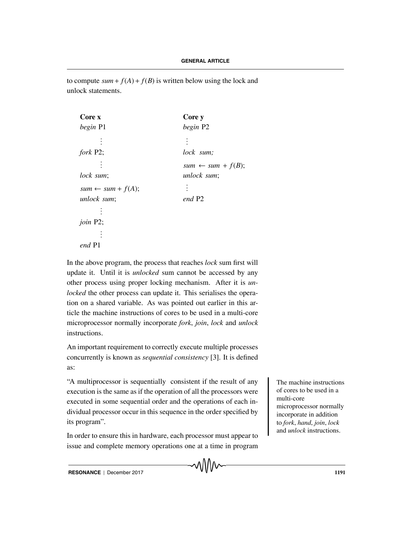to compute  $sum + f(A) + f(B)$  is written below using the lock and unlock statements.

| Core x                       | Core y                       |  |
|------------------------------|------------------------------|--|
| begin P1                     | begin P2                     |  |
|                              |                              |  |
| fork P2;                     | lock sum;                    |  |
|                              | $sum \leftarrow sum + f(B);$ |  |
| lock sum;                    | unlock sum;                  |  |
| $sum \leftarrow sum + f(A);$ |                              |  |
| unlock sum;                  | end P2                       |  |
|                              |                              |  |
| join P2;                     |                              |  |
|                              |                              |  |
| end                          |                              |  |

In the above program, the process that reaches *lock* sum first will update it. Until it is *unlocked* sum cannot be accessed by any other process using proper locking mechanism. After it is *unlocked* the other process can update it. This serialises the operation on a shared variable. As was pointed out earlier in this article the machine instructions of cores to be used in a multi-core microprocessor normally incorporate *fork*, *join*, *lock* and *unlock* instructions.

An important requirement to correctly execute multiple processes concurrently is known as *sequential consistency* [3]. It is defined as:

"A multiprocessor is sequentially consistent if the result of any The machine instructions execution is the same as if the operation of all the processors were executed in some sequential order and the operations of each individual processor occur in this sequence in the order specified by its program".

In order to ensure this in hardware, each processor must appear to issue and complete memory operations one at a time in program of cores to be used in a multi-core microprocessor normally incorporate in addition to *fork*, *hand*, *join*, *lock* and *unlock* instructions.